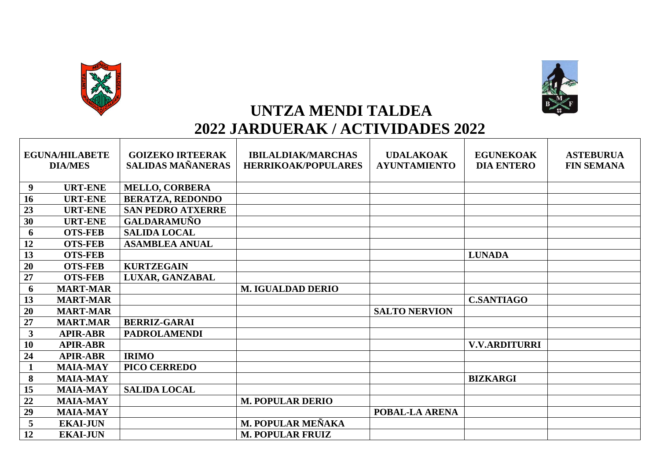



## **UNTZA MENDI TALDEA**

## **2022 JARDUERAK / ACTIVIDADES 2022**

| <b>EGUNA/HILABETE</b><br><b>DIA/MES</b> |                 | <b>GOIZEKO IRTEERAK</b><br><b>SALIDAS MAÑANERAS</b> | <b>IBILALDIAK/MARCHAS</b><br><b>HERRIKOAK/POPULARES</b> | <b>UDALAKOAK</b><br><b>AYUNTAMIENTO</b> | <b>EGUNEKOAK</b><br><b>DIA ENTERO</b> | <b>ASTEBURUA</b><br><b>FIN SEMANA</b> |
|-----------------------------------------|-----------------|-----------------------------------------------------|---------------------------------------------------------|-----------------------------------------|---------------------------------------|---------------------------------------|
| 9                                       | <b>URT-ENE</b>  | <b>MELLO, CORBERA</b>                               |                                                         |                                         |                                       |                                       |
| 16                                      | <b>URT-ENE</b>  | <b>BERATZA, REDONDO</b>                             |                                                         |                                         |                                       |                                       |
| 23                                      | <b>URT-ENE</b>  | <b>SAN PEDRO ATXERRE</b>                            |                                                         |                                         |                                       |                                       |
| 30                                      | <b>URT-ENE</b>  | <b>GALDARAMUÑO</b>                                  |                                                         |                                         |                                       |                                       |
| 6                                       | <b>OTS-FEB</b>  | <b>SALIDA LOCAL</b>                                 |                                                         |                                         |                                       |                                       |
| 12                                      | <b>OTS-FEB</b>  | <b>ASAMBLEA ANUAL</b>                               |                                                         |                                         |                                       |                                       |
| 13                                      | <b>OTS-FEB</b>  |                                                     |                                                         |                                         | <b>LUNADA</b>                         |                                       |
| 20                                      | <b>OTS-FEB</b>  | <b>KURTZEGAIN</b>                                   |                                                         |                                         |                                       |                                       |
| 27                                      | <b>OTS-FEB</b>  | LUXAR, GANZABAL                                     |                                                         |                                         |                                       |                                       |
| 6                                       | <b>MART-MAR</b> |                                                     | <b>M. IGUALDAD DERIO</b>                                |                                         |                                       |                                       |
| 13                                      | <b>MART-MAR</b> |                                                     |                                                         |                                         | <b>C.SANTIAGO</b>                     |                                       |
| 20                                      | <b>MART-MAR</b> |                                                     |                                                         | <b>SALTO NERVION</b>                    |                                       |                                       |
| 27                                      | <b>MART.MAR</b> | <b>BERRIZ-GARAI</b>                                 |                                                         |                                         |                                       |                                       |
| $\mathbf{3}$                            | <b>APIR-ABR</b> | <b>PADROLAMENDI</b>                                 |                                                         |                                         |                                       |                                       |
| <b>10</b>                               | <b>APIR-ABR</b> |                                                     |                                                         |                                         | <b>V.V.ARDITURRI</b>                  |                                       |
| 24                                      | <b>APIR-ABR</b> | <b>IRIMO</b>                                        |                                                         |                                         |                                       |                                       |
| $\mathbf{1}$                            | <b>MAIA-MAY</b> | <b>PICO CERREDO</b>                                 |                                                         |                                         |                                       |                                       |
| 8                                       | <b>MAIA-MAY</b> |                                                     |                                                         |                                         | <b>BIZKARGI</b>                       |                                       |
| 15                                      | <b>MAIA-MAY</b> | <b>SALIDA LOCAL</b>                                 |                                                         |                                         |                                       |                                       |
| 22                                      | <b>MAIA-MAY</b> |                                                     | <b>M. POPULAR DERIO</b>                                 |                                         |                                       |                                       |
| 29                                      | <b>MAIA-MAY</b> |                                                     |                                                         | POBAL-LA ARENA                          |                                       |                                       |
| 5                                       | <b>EKAI-JUN</b> |                                                     | M. POPULAR MEÑAKA                                       |                                         |                                       |                                       |
| 12                                      | <b>EKAI-JUN</b> |                                                     | <b>M. POPULAR FRUIZ</b>                                 |                                         |                                       |                                       |